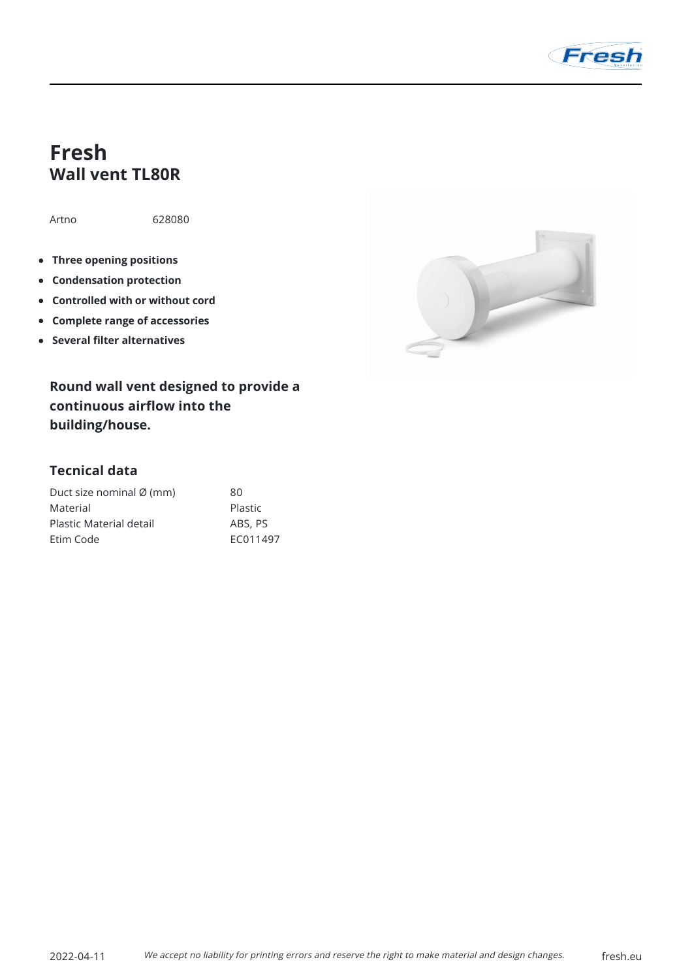

## **Fresh Wall vent TL80R**

Artno 628080

- **Three opening positions**
- **Condensation protection**
- **Controlled with or without cord**
- **Complete range of accessories**
- **Several filter alternatives**

**Round wall vent designed to provide a continuous airflow into the building/house.**

## **Tecnical data**

| Duct size nominal Ø (mm) | 80       |
|--------------------------|----------|
| Material                 | Plastic  |
| Plastic Material detail  | ABS, PS  |
| Etim Code                | FC011497 |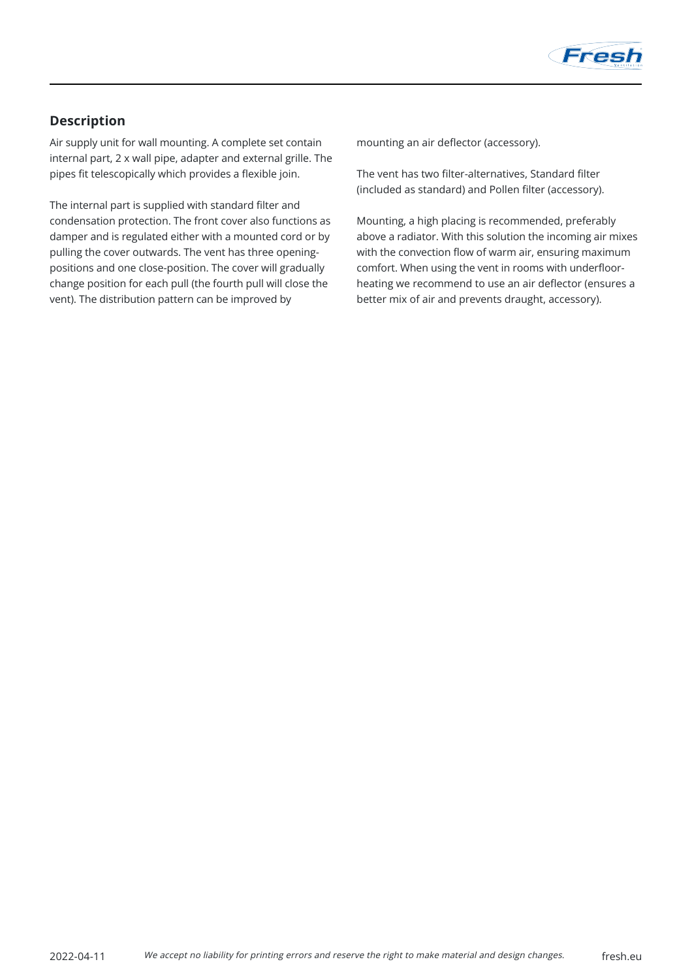

## **Description**

Air supply unit for wall mounting. A complete set contain internal part, 2 x wall pipe, adapter and external grille. The pipes fit telescopically which provides a flexible join.

The internal part is supplied with standard filter and condensation protection. The front cover also functions as damper and is regulated either with a mounted cord or by pulling the cover outwards. The vent has three openingpositions and one close-position. The cover will gradually change position for each pull (the fourth pull will close the vent). The distribution pattern can be improved by

mounting an air deflector (accessory).

The vent has two filter-alternatives, Standard filter (included as standard) and Pollen filter (accessory).

Mounting, a high placing is recommended, preferably above a radiator. With this solution the incoming air mixes with the convection flow of warm air, ensuring maximum comfort. When using the vent in rooms with underfloorheating we recommend to use an air deflector (ensures a better mix of air and prevents draught, accessory).